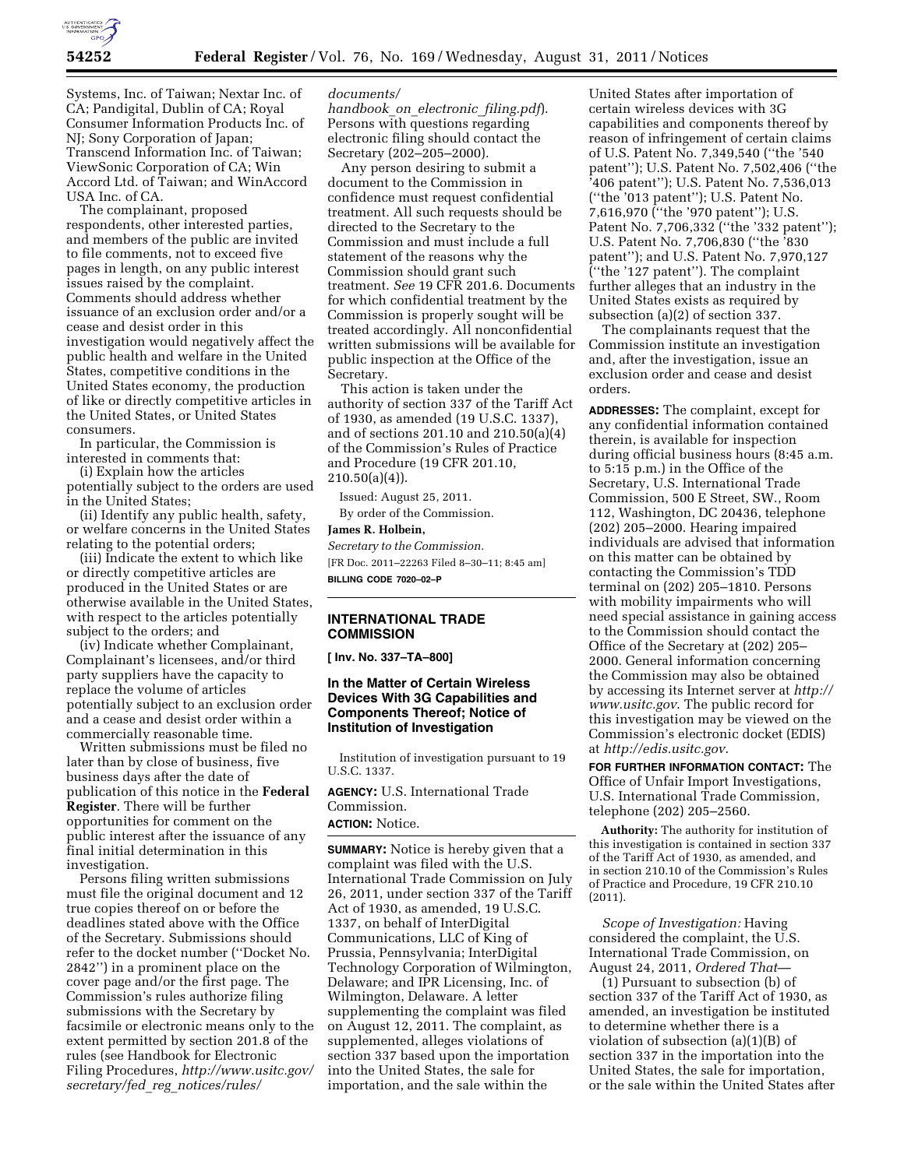

Systems, Inc. of Taiwan; Nextar Inc. of CA; Pandigital, Dublin of CA; Royal Consumer Information Products Inc. of NJ; Sony Corporation of Japan; Transcend Information Inc. of Taiwan; ViewSonic Corporation of CA; Win Accord Ltd. of Taiwan; and WinAccord USA Inc. of CA.

The complainant, proposed respondents, other interested parties, and members of the public are invited to file comments, not to exceed five pages in length, on any public interest issues raised by the complaint. Comments should address whether issuance of an exclusion order and/or a cease and desist order in this investigation would negatively affect the public health and welfare in the United States, competitive conditions in the United States economy, the production of like or directly competitive articles in the United States, or United States consumers.

In particular, the Commission is interested in comments that:

(i) Explain how the articles potentially subject to the orders are used in the United States;

(ii) Identify any public health, safety, or welfare concerns in the United States relating to the potential orders;

(iii) Indicate the extent to which like or directly competitive articles are produced in the United States or are otherwise available in the United States, with respect to the articles potentially subject to the orders; and

(iv) Indicate whether Complainant, Complainant's licensees, and/or third party suppliers have the capacity to replace the volume of articles potentially subject to an exclusion order and a cease and desist order within a commercially reasonable time.

Written submissions must be filed no later than by close of business, five business days after the date of publication of this notice in the **Federal Register**. There will be further opportunities for comment on the public interest after the issuance of any final initial determination in this investigation.

Persons filing written submissions must file the original document and 12 true copies thereof on or before the deadlines stated above with the Office of the Secretary. Submissions should refer to the docket number (''Docket No. 2842'') in a prominent place on the cover page and/or the first page. The Commission's rules authorize filing submissions with the Secretary by facsimile or electronic means only to the extent permitted by section 201.8 of the rules (see Handbook for Electronic Filing Procedures, *[http://www.usitc.gov/](http://www.usitc.gov/secretary/fed_reg_notices/rules/documents/handbook_on_electronic_filing.pdf) secretary/fed*\_*reg*\_*[notices/rules/](http://www.usitc.gov/secretary/fed_reg_notices/rules/documents/handbook_on_electronic_filing.pdf)* 

#### *[documents/](http://www.usitc.gov/secretary/fed_reg_notices/rules/documents/handbook_on_electronic_filing.pdf)*

*[handbook](http://www.usitc.gov/secretary/fed_reg_notices/rules/documents/handbook_on_electronic_filing.pdf)*\_*on*\_*electronic*\_*filing.pdf*). Persons with questions regarding electronic filing should contact the Secretary (202–205–2000).

Any person desiring to submit a document to the Commission in confidence must request confidential treatment. All such requests should be directed to the Secretary to the Commission and must include a full statement of the reasons why the Commission should grant such treatment. *See* 19 CFR 201.6. Documents for which confidential treatment by the Commission is properly sought will be treated accordingly. All nonconfidential written submissions will be available for public inspection at the Office of the Secretary.

This action is taken under the authority of section 337 of the Tariff Act of 1930, as amended (19 U.S.C. 1337), and of sections 201.10 and 210.50(a)(4) of the Commission's Rules of Practice and Procedure (19 CFR 201.10,  $210.50(a)(4)$ .

Issued: August 25, 2011. By order of the Commission.

# **James R. Holbein,**

*Secretary to the Commission.*  [FR Doc. 2011–22263 Filed 8–30–11; 8:45 am] **BILLING CODE 7020–02–P** 

## **INTERNATIONAL TRADE COMMISSION**

**[ Inv. No. 337–TA–800]** 

#### **In the Matter of Certain Wireless Devices With 3G Capabilities and Components Thereof; Notice of Institution of Investigation**

Institution of investigation pursuant to 19 U.S.C. 1337.

**AGENCY:** U.S. International Trade Commission.

# **ACTION:** Notice.

**SUMMARY:** Notice is hereby given that a complaint was filed with the U.S. International Trade Commission on July 26, 2011, under section 337 of the Tariff Act of 1930, as amended, 19 U.S.C. 1337, on behalf of InterDigital Communications, LLC of King of Prussia, Pennsylvania; InterDigital Technology Corporation of Wilmington, Delaware; and IPR Licensing, Inc. of Wilmington, Delaware. A letter supplementing the complaint was filed on August 12, 2011. The complaint, as supplemented, alleges violations of section 337 based upon the importation into the United States, the sale for importation, and the sale within the

United States after importation of certain wireless devices with 3G capabilities and components thereof by reason of infringement of certain claims of U.S. Patent No. 7,349,540 (''the '540 patent''); U.S. Patent No. 7,502,406 (''the '406 patent''); U.S. Patent No. 7,536,013 (''the '013 patent''); U.S. Patent No. 7,616,970 (''the '970 patent''); U.S. Patent No. 7,706,332 ("the '332 patent"); U.S. Patent No. 7,706,830 (''the '830 patent''); and U.S. Patent No. 7,970,127 (''the '127 patent''). The complaint further alleges that an industry in the United States exists as required by subsection (a)(2) of section 337.

The complainants request that the Commission institute an investigation and, after the investigation, issue an exclusion order and cease and desist orders.

**ADDRESSES:** The complaint, except for any confidential information contained therein, is available for inspection during official business hours (8:45 a.m. to 5:15 p.m.) in the Office of the Secretary, U.S. International Trade Commission, 500 E Street, SW., Room 112, Washington, DC 20436, telephone (202) 205–2000. Hearing impaired individuals are advised that information on this matter can be obtained by contacting the Commission's TDD terminal on (202) 205–1810. Persons with mobility impairments who will need special assistance in gaining access to the Commission should contact the Office of the Secretary at (202) 205– 2000. General information concerning the Commission may also be obtained by accessing its Internet server at *[http://](http://www.usitc.gov) [www.usitc.gov](http://www.usitc.gov)*. The public record for this investigation may be viewed on the Commission's electronic docket (EDIS) at *<http://edis.usitc.gov>*.

**FOR FURTHER INFORMATION CONTACT:** The Office of Unfair Import Investigations, U.S. International Trade Commission, telephone (202) 205–2560.

**Authority:** The authority for institution of this investigation is contained in section 337 of the Tariff Act of 1930, as amended, and in section 210.10 of the Commission's Rules of Practice and Procedure, 19 CFR 210.10 (2011).

*Scope of Investigation:* Having considered the complaint, the U.S. International Trade Commission, on August 24, 2011, *Ordered That*—

(1) Pursuant to subsection (b) of section 337 of the Tariff Act of 1930, as amended, an investigation be instituted to determine whether there is a violation of subsection (a)(1)(B) of section 337 in the importation into the United States, the sale for importation, or the sale within the United States after